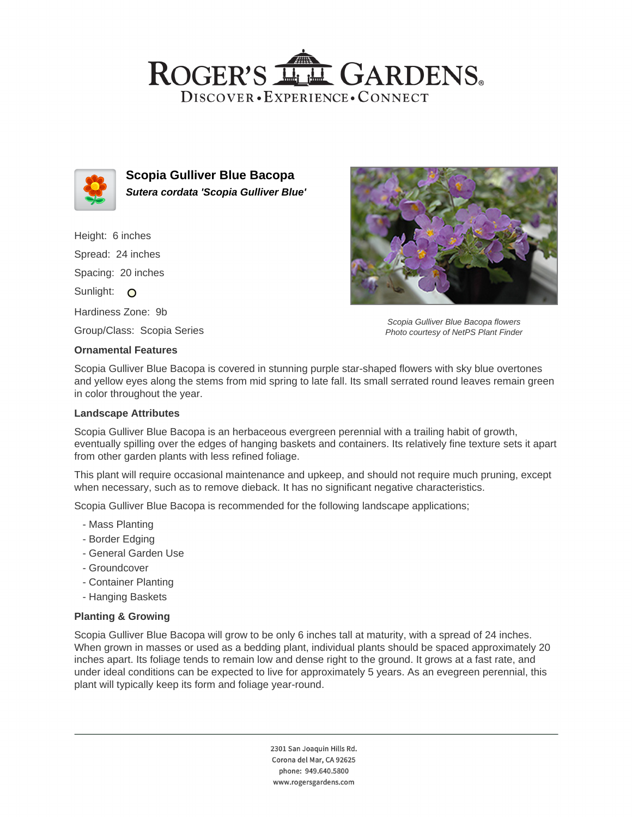## ROGER'S LL GARDENS. DISCOVER · EXPERIENCE · CONNECT



**Scopia Gulliver Blue Bacopa Sutera cordata 'Scopia Gulliver Blue'**

Height: 6 inches Spread: 24 inches Spacing: 20 inches Sunlight: O Hardiness Zone: 9b Group/Class: Scopia Series

#### **Ornamental Features**

Scopia Gulliver Blue Bacopa flowers Photo courtesy of NetPS Plant Finder

Scopia Gulliver Blue Bacopa is covered in stunning purple star-shaped flowers with sky blue overtones and yellow eyes along the stems from mid spring to late fall. Its small serrated round leaves remain green in color throughout the year.

#### **Landscape Attributes**

Scopia Gulliver Blue Bacopa is an herbaceous evergreen perennial with a trailing habit of growth, eventually spilling over the edges of hanging baskets and containers. Its relatively fine texture sets it apart from other garden plants with less refined foliage.

This plant will require occasional maintenance and upkeep, and should not require much pruning, except when necessary, such as to remove dieback. It has no significant negative characteristics.

Scopia Gulliver Blue Bacopa is recommended for the following landscape applications;

- Mass Planting
- Border Edging
- General Garden Use
- Groundcover
- Container Planting
- Hanging Baskets

### **Planting & Growing**

Scopia Gulliver Blue Bacopa will grow to be only 6 inches tall at maturity, with a spread of 24 inches. When grown in masses or used as a bedding plant, individual plants should be spaced approximately 20 inches apart. Its foliage tends to remain low and dense right to the ground. It grows at a fast rate, and under ideal conditions can be expected to live for approximately 5 years. As an evegreen perennial, this plant will typically keep its form and foliage year-round.

> 2301 San Joaquin Hills Rd. Corona del Mar, CA 92625 phone: 949.640.5800 www.rogersgardens.com